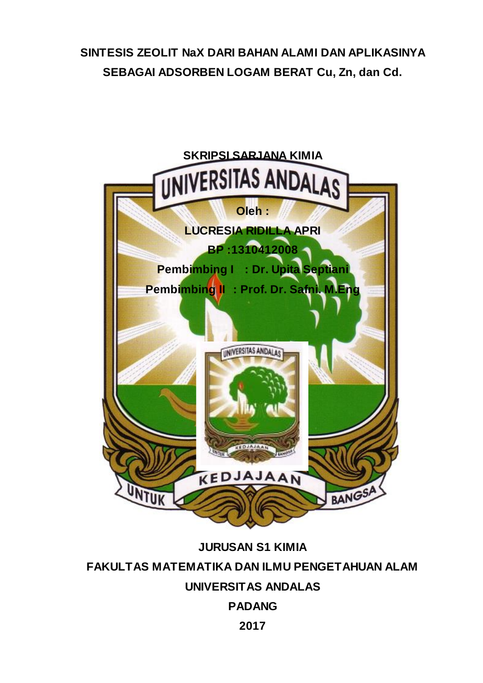# **SINTESIS ZEOLIT NaX DARI BAHAN ALAMI DAN APLIKASINYA SEBAGAI ADSORBEN LOGAM BERAT Cu, Zn, dan Cd.**



**JURUSAN S1 KIMIA FAKULTAS MATEMATIKA DAN ILMU PENGETAHUAN ALAM UNIVERSITAS ANDALAS PADANG 2017**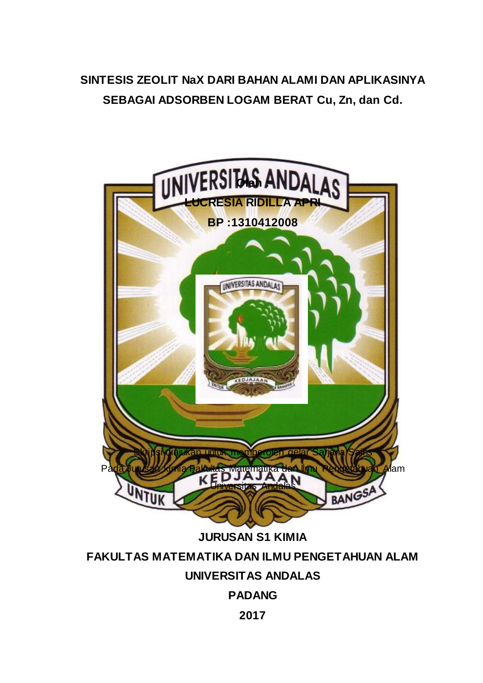# **SINTESIS ZEOLIT NaX DARI BAHAN ALAMI DAN APLIKASINYA SEBAGAI ADSORBEN LOGAM BERAT Cu, Zn, dan Cd.**



**JURUSAN S1 KIMIA**

## **FAKULTAS MATEMATIKA DAN ILMU PENGETAHUAN ALAM**

## **UNIVERSITAS ANDALAS**

## **PADANG**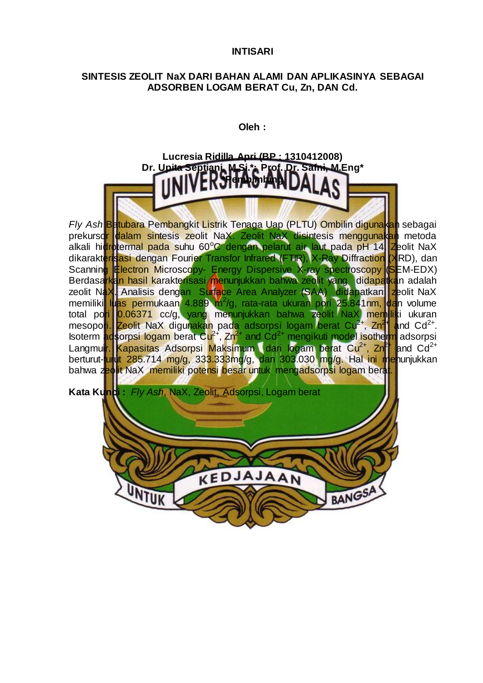#### **INTISARI**

### **SINTESIS ZEOLIT NaX DARI BAHAN ALAMI DAN APLIKASINYA SEBAGAI ADSORBEN LOGAM BERAT Cu, Zn, DAN Cd.**

**Oleh :**



*Fly Ash* Batubara Pembangkit Listrik Tenaga Uap (PLTU) Ombilin digunakan sebagai prekurso<mark>r dalam sintesis zeolit NaX. Zeolit NaX disin</mark>tesis menggunakan metoda alkali hidrotermal pada suhu 60°C dengan pelarut air laut pada pH 14. Zeolit NaX dikarakterisasi dengan Fourier Transfor Infrared (FTIR), X-Ray Diffraction (XRD), dan Scanning Electron Microscopy- Energy Dispersive X-ray spectroscopy (SEM-EDX) Berdasa<mark>rkan hasil karakterisasi me</mark>nunjukkan bahwa zeolit yang didapatkan adalah zeolit NaX. Analisis dengan Surface Area Analyzer (SAA) didapatkan zeolit NaX memiliki luas permukaan 4.889 m<sup>2</sup>/g, rata-rata ukuran pori 25.841nm, dan volume total po<mark>ri 0.06371 cc/g, yang menu</mark>njukkan bahwa zeolit NaX memiliki ukuran mesopori. Zeolit NaX digunakan pada adsorpsi logam berat Cu<sup>2+</sup>, Zn<sup>2+</sup> and Cd<sup>2+</sup>. Isoterm adsorpsi logam berat Cu<sup>2+</sup>, Zn<sup>2+</sup> and Cd<sup>2+</sup> mengikuti model isotherm adsorpsi Langmuir. Kapasitas Adsorpsi Maksimum dari logam berat Cu<sup>2+</sup>, Zn<sup>2+</sup> and Cd<sup>2+</sup> berturut-<mark>tur</mark>ut 285.714 mg/g, 333.333mg/g, dan 303.030 mg/g. Hal ini menunjukkan bahwa zeolit NaX memiliki potensi besar untuk mengadsorpsi logam berat